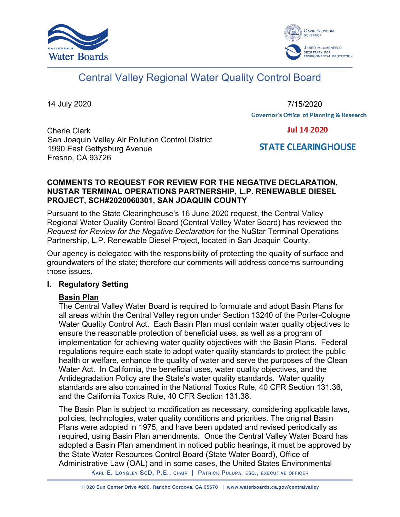



# Central Valley Regional Water Quality Control Board

14 July 2020

7/15/2020**Governor's Office of Planning & Research** 

Cherie Clark San Joaquin Valley Air Pollution Control District 1990 East Gettysburg Avenue Fresno, CA 93726

**Jul 14 2020** 

**STATE CLEARINGHOUSE** 

### **COMMENTS TO REQUEST FOR REVIEW FOR THE NEGATIVE DECLARATION, NUSTAR TERMINAL OPERATIONS PARTNERSHIP, L.P. RENEWABLE DIESEL PROJECT, SCH#2020060301, SAN JOAQUIN COUNTY**

Pursuant to the State Clearinghouse's 16 June 2020 request, the Central Valley Regional Water Quality Control Board (Central Valley Water Board) has reviewed the *Request for Review for the Negative Declaration* for the NuStar Terminal Operations Partnership, L.P. Renewable Diesel Project, located in San Joaquin County.

Our agency is delegated with the responsibility of protecting the quality of surface and groundwaters of the state; therefore our comments will address concerns surrounding those issues.

#### **I. Regulatory Setting**

#### **Basin Plan**

The Central Valley Water Board is required to formulate and adopt Basin Plans for all areas within the Central Valley region under Section 13240 of the Porter-Cologne Water Quality Control Act. Each Basin Plan must contain water quality objectives to ensure the reasonable protection of beneficial uses, as well as a program of implementation for achieving water quality objectives with the Basin Plans. Federal regulations require each state to adopt water quality standards to protect the public health or welfare, enhance the quality of water and serve the purposes of the Clean Water Act. In California, the beneficial uses, water quality objectives, and the Antidegradation Policy are the State's water quality standards. Water quality standards are also contained in the National Toxics Rule, 40 CFR Section 131.36, and the California Toxics Rule, 40 CFR Section 131.38.

The Basin Plan is subject to modification as necessary, considering applicable laws, policies, technologies, water quality conditions and priorities. The original Basin Plans were adopted in 1975, and have been updated and revised periodically as required, using Basin Plan amendments. Once the Central Valley Water Board has adopted a Basin Plan amendment in noticed public hearings, it must be approved by the State Water Resources Control Board (State Water Board), Office of Administrative Law (OAL) and in some cases, the United States Environmental

KARL E. LONGLEY SCD, P.E., CHAIR | PATRICK PULUPA, ESQ., EXECUTIVE OFFICER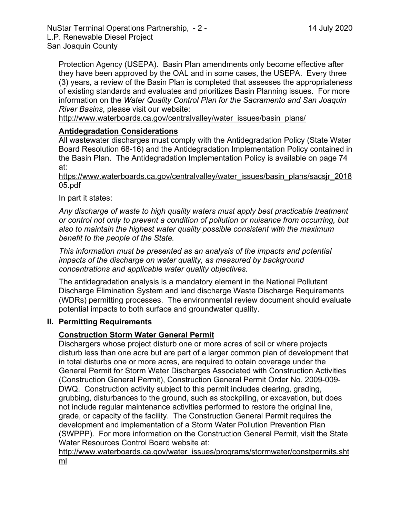Protection Agency (USEPA). Basin Plan amendments only become effective after they have been approved by the OAL and in some cases, the USEPA. Every three (3) years, a review of the Basin Plan is completed that assesses the appropriateness of existing standards and evaluates and prioritizes Basin Planning issues. For more information on the *Water Quality Control Plan for the Sacramento and San Joaquin River Basins*, please visit our website:

[http://www.waterboards.ca.gov/centralvalley/water\\_issues/basin\\_plans/](http://www.waterboards.ca.gov/centralvalley/water_issues/basin_plans/)

## **Antidegradation Considerations**

All wastewater discharges must comply with the Antidegradation Policy (State Water Board Resolution 68-16) and the Antidegradation Implementation Policy contained in the Basin Plan. The Antidegradation Implementation Policy is available on page 74 at:

https://www.waterboards.ca.gov/centralvalley/water\_issues/basin\_plans/sacsjr\_2018 05.pdf

In part it states:

*Any discharge of waste to high quality waters must apply best practicable treatment or control not only to prevent a condition of pollution or nuisance from occurring, but also to maintain the highest water quality possible consistent with the maximum benefit to the people of the State.*

*This information must be presented as an analysis of the impacts and potential impacts of the discharge on water quality, as measured by background concentrations and applicable water quality objectives.*

The antidegradation analysis is a mandatory element in the National Pollutant Discharge Elimination System and land discharge Waste Discharge Requirements (WDRs) permitting processes. The environmental review document should evaluate potential impacts to both surface and groundwater quality.

#### **II. Permitting Requirements**

## **Construction Storm Water General Permit**

Dischargers whose project disturb one or more acres of soil or where projects disturb less than one acre but are part of a larger common plan of development that in total disturbs one or more acres, are required to obtain coverage under the General Permit for Storm Water Discharges Associated with Construction Activities (Construction General Permit), Construction General Permit Order No. 2009-009- DWQ. Construction activity subject to this permit includes clearing, grading, grubbing, disturbances to the ground, such as stockpiling, or excavation, but does not include regular maintenance activities performed to restore the original line, grade, or capacity of the facility. The Construction General Permit requires the development and implementation of a Storm Water Pollution Prevention Plan (SWPPP). For more information on the Construction General Permit, visit the State Water Resources Control Board website at:

[http://www.waterboards.ca.gov/water\\_issues/programs/stormwater/constpermits.sht](http://www.waterboards.ca.gov/water_issues/programs/stormwater/constpermits.shtml) [ml](http://www.waterboards.ca.gov/water_issues/programs/stormwater/constpermits.shtml)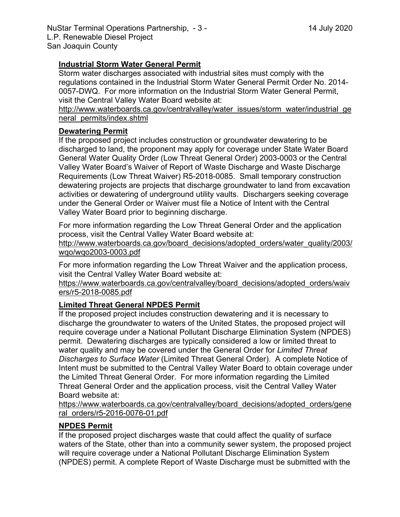# **Industrial Storm Water General Permit**

Storm water discharges associated with industrial sites must comply with the regulations contained in the Industrial Storm Water General Permit Order No. 2014- 0057-DWQ. For more information on the Industrial Storm Water General Permit, visit the Central Valley Water Board website at:

http://www.waterboards.ca.gov/centralvalley/water\_issues/storm\_water/industrial\_ge neral\_permits/index.shtml

## **Dewatering Permit**

If the proposed project includes construction or groundwater dewatering to be discharged to land, the proponent may apply for coverage under State Water Board General Water Quality Order (Low Threat General Order) 2003-0003 or the Central Valley Water Board's Waiver of Report of Waste Discharge and Waste Discharge Requirements (Low Threat Waiver) R5-2018-0085. Small temporary construction dewatering projects are projects that discharge groundwater to land from excavation activities or dewatering of underground utility vaults. Dischargers seeking coverage under the General Order or Waiver must file a Notice of Intent with the Central Valley Water Board prior to beginning discharge.

For more information regarding the Low Threat General Order and the application process, visit the Central Valley Water Board website at:

http://www.waterboards.ca.gov/board\_decisions/adopted\_orders/water\_quality/2003/ wqo/wqo2003-0003.pdf

For more information regarding the Low Threat Waiver and the application process, visit the Central Valley Water Board website at:

https://www.waterboards.ca.gov/centralvalley/board\_decisions/adopted\_orders/waiv ers/r5-2018-0085.pdf

# **Limited Threat General NPDES Permit**

If the proposed project includes construction dewatering and it is necessary to discharge the groundwater to waters of the United States, the proposed project will require coverage under a National Pollutant Discharge Elimination System (NPDES) permit. Dewatering discharges are typically considered a low or limited threat to water quality and may be covered under the General Order for *Limited Threat Discharges to Surface Water* (Limited Threat General Order). A complete Notice of Intent must be submitted to the Central Valley Water Board to obtain coverage under the Limited Threat General Order. For more information regarding the Limited Threat General Order and the application process, visit the Central Valley Water Board website at:

https://www.waterboards.ca.gov/centralvalley/board\_decisions/adopted\_orders/gene ral\_orders/r5-2016-0076-01.pdf

# **NPDES Permit**

If the proposed project discharges waste that could affect the quality of surface waters of the State, other than into a community sewer system, the proposed project will require coverage under a National Pollutant Discharge Elimination System (NPDES) permit. A complete Report of Waste Discharge must be submitted with the